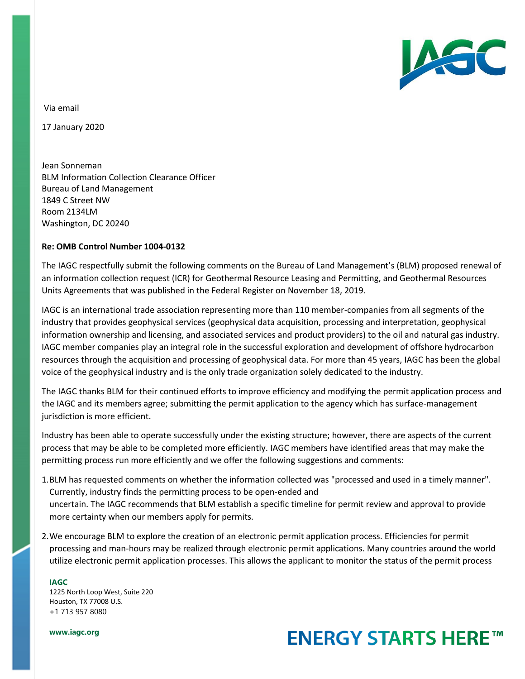

Via email

17 January 2020

Jean Sonneman BLM Information Collection Clearance Officer Bureau of Land Management 1849 C Street NW Room 2134LM Washington, DC 20240

## **Re: OMB Control Number 1004-0132**

The IAGC respectfully submit the following comments on the Bureau of Land Management's (BLM) proposed renewal of an information collection request (ICR) for Geothermal Resource Leasing and Permitting, and Geothermal Resources Units Agreements that was published in the Federal Register on November 18, 2019.

IAGC is an international trade association representing more than 110 member-companies from all segments of the industry that provides geophysical services (geophysical data acquisition, processing and interpretation, geophysical information ownership and licensing, and associated services and product providers) to the oil and natural gas industry. IAGC member companies play an integral role in the successful exploration and development of offshore hydrocarbon resources through the acquisition and processing of geophysical data. For more than 45 years, IAGC has been the global voice of the geophysical industry and is the only trade organization solely dedicated to the industry.

The IAGC thanks BLM for their continued efforts to improve efficiency and modifying the permit application process and the IAGC and its members agree; submitting the permit application to the agency which has surface-management jurisdiction is more efficient.

Industry has been able to operate successfully under the existing structure; however, there are aspects of the current process that may be able to be completed more efficiently. IAGC members have identified areas that may make the permitting process run more efficiently and we offer the following suggestions and comments:

- 1.BLM has requested comments on whether the information collected was "processed and used in a timely manner". Currently, industry finds the permitting process to be open-ended and uncertain. The IAGC recommends that BLM establish a specific timeline for permit review and approval to provide more certainty when our members apply for permits.
- 2.We encourage BLM to explore the creation of an electronic permit application process. Efficiencies for permit processing and man-hours may be realized through electronic permit applications. Many countries around the world utilize electronic permit application processes. This allows the applicant to monitor the status of the permit process

**IAGC** 1225 North Loop West, Suite 220 Houston, TX 77008 U.S. +1 713 957 8080

**www.iagc.org**

## **ENERGY STARTS HERE™**